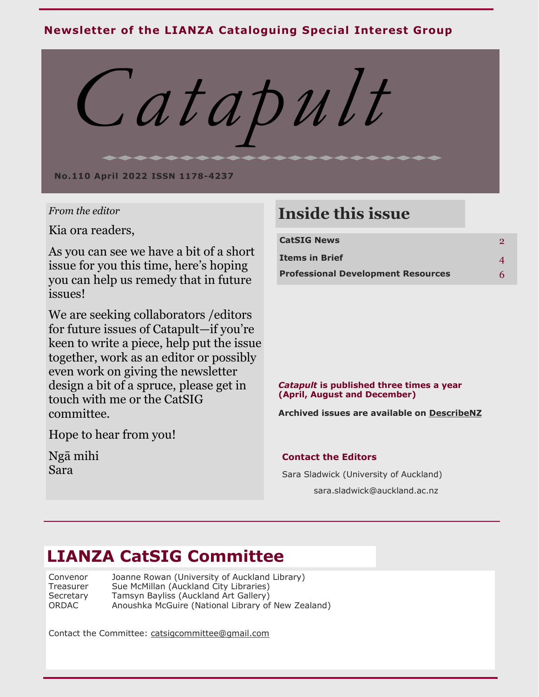## **Newsletter of the LIANZA Cataloguing Special Interest Group**



### *From the editor*

Kia ora readers,

As you can see we have a bit of a short issue for you this time, here's hoping you can help us remedy that in future issues!

We are seeking collaborators /editors for future issues of Catapult—if you're keen to write a piece, help put the issue together, work as an editor or possibly even work on giving the newsletter design a bit of a spruce, please get in touch with me or the CatSIG committee.

Hope to hear from you!

Ngā mihi Sara

# **Inside this issue**

| <b>CatSIG News</b>                        | 2 |
|-------------------------------------------|---|
| Items in Brief                            |   |
| <b>Professional Development Resources</b> | 6 |

### *Catapult* **is published three times a year (April, August and December)**

**Archived issues are available on [DescribeNZ](http://describenz.squarespace.com/)**

### **Contact the Editors**

Sara Sladwick (University of Auckland) sara.sladwick@auckland.ac.nz

# **LIANZA CatSIG Committee**

Convenor Joanne Rowan (University of Auckland Library) Treasurer Sue McMillan (Auckland City Libraries)<br>Secretary Tamsyn Bayliss (Auckland Art Gallery) Tamsyn Bayliss (Auckland Art Gallery) ORDAC Anoushka McGuire (National Library of New Zealand)

Contact the Committee: [catsigcommittee@gmail.com](mailto:catsigcommittee@gmail.com)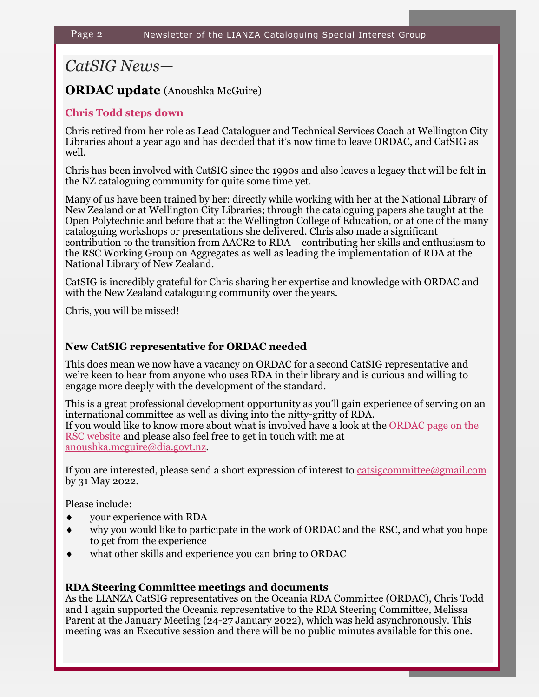## *CatSIG News—*

### **ORDAC update** (Anoushka McGuire)

### **Chris Todd steps down**

Chris retired from her role as Lead Cataloguer and Technical Services Coach at Wellington City Libraries about a year ago and has decided that it's now time to leave ORDAC, and CatSIG as well.

Chris has been involved with CatSIG since the 1990s and also leaves a legacy that will be felt in the NZ cataloguing community for quite some time yet.

Many of us have been trained by her: directly while working with her at the National Library of New Zealand or at Wellington City Libraries; through the cataloguing papers she taught at the Open Polytechnic and before that at the Wellington College of Education, or at one of the many cataloguing workshops or presentations she delivered. Chris also made a significant contribution to the transition from AACR2 to RDA – contributing her skills and enthusiasm to the RSC Working Group on Aggregates as well as leading the implementation of RDA at the National Library of New Zealand.

CatSIG is incredibly grateful for Chris sharing her expertise and knowledge with ORDAC and with the New Zealand cataloguing community over the years.

Chris, you will be missed!

### **New CatSIG representative for ORDAC needed**

This does mean we now have a vacancy on ORDAC for a second CatSIG representative and we're keen to hear from anyone who uses RDA in their library and is curious and willing to engage more deeply with the development of the standard.

This is a great professional development opportunity as you'll gain experience of serving on an international committee as well as diving into the nitty-gritty of RDA. If you would like to know more about what is involved have a look at the [ORDAC page on the](http://rda-rsc.org/oceania)  [RSC website](http://rda-rsc.org/oceania) and please also feel free to get in touch with me at [anoushka.mcguire@dia.govt.nz.](mailto:anoushka.mcguire@dia.govt.nz)

If you are interested, please send a short expression of interest to [catsigcommittee@gmail.com](mailto:catsigcommittee@gmail.com) by 31 May 2022.

Please include:

- your experience with RDA
- why you would like to participate in the work of ORDAC and the RSC, and what you hope to get from the experience
- what other skills and experience you can bring to ORDAC

### **RDA Steering Committee meetings and documents**

As the LIANZA CatSIG representatives on the Oceania RDA Committee (ORDAC), Chris Todd and I again supported the Oceania representative to the RDA Steering Committee, Melissa Parent at the January Meeting (24-27 January 2022), which was held asynchronously. This meeting was an Executive session and there will be no public minutes available for this one.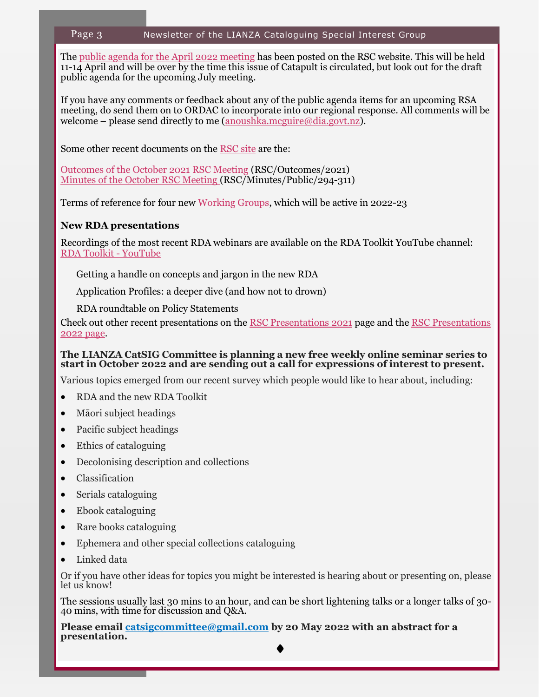### Page 3 Newsletter of the LIANZA Cataloguing Special Interest Group

The [public agenda for the April 2022 meeting](http://www.rda-rsc.org/node/708) has been posted on the RSC website. This will be held 11-14 April and will be over by the time this issue of Catapult is circulated, but look out for the draft public agenda for the upcoming July meeting.

If you have any comments or feedback about any of the public agenda items for an upcoming RSA meeting, do send them on to ORDAC to incorporate into our regional response. All comments will be welcome – please send directly to me ([anoushka.mcguire@dia.govt.nz\)](mailto:anoushka.mcguire@dia.govt.nz).

Some other recent documents on the [RSC site](http://www.rda-rsc.org/) are the:

[Outcomes of the October 2021 RSC Meeting \(](https://aus01.safelinks.protection.outlook.com/?url=http%3A%2F%2Fwww.rda-rsc.org%2Fsites%2Fall%2Ffiles%2FRSC-Outcomes-2021.pdf&data=04%7C01%7CAnoushka.mcguire%40dia.govt.nz%7Cea2a6e48c6cf4169d05008d9ecd865f8%7Cf659ca5cfc474e96b24d14c95df13acb%7C0%7C0%7C637801)RSC/Outcomes/2021) [Minutes of the October RSC Meeting \(R](https://aus01.safelinks.protection.outlook.com/?url=http%3A%2F%2Fwww.rda-rsc.org%2Fsites%2Fall%2Ffiles%2FRSC-Minutes-Public-294-311.pdf&data=04%7C01%7CAnoushka.mcguire%40dia.govt.nz%7Cea2a6e48c6cf4169d05008d9ecd865f8%7Cf659ca5cfc474e96b24d14c95df13acb%7C0%7C0)SC/Minutes/Public/294-311)

Terms of reference for four new [Working Groups,](https://aus01.safelinks.protection.outlook.com/?url=http%3A%2F%2Fwww.rda-rsc.org%2Fworkinggroups&data=04%7C01%7CAnoushka.mcguire%40dia.govt.nz%7Cea2a6e48c6cf4169d05008d9ecd865f8%7Cf659ca5cfc474e96b24d14c95df13acb%7C0%7C0%7C637801236450962457%7CUnknown%7CTWFpb) which will be active in 2022-23

### **New RDA presentations**

Recordings of the most recent RDA webinars are available on the RDA Toolkit YouTube channel: [RDA Toolkit](https://www.youtube.com/channel/UCd5pa3AoQIr17wESE9YHcnw) - YouTube

Getting a handle on concepts and jargon in the new RDA

Application Profiles: a deeper dive (and how not to drown)

RDA roundtable on Policy Statements

Check out other recent presentations on the [RSC Presentations 2021](http://www.rda-rsc.org/node/654) page and the [RSC Presentations](http://www.rda-rsc.org/node/702)  [2022 page.](http://www.rda-rsc.org/node/702)

### **The LIANZA CatSIG Committee is planning a new free weekly online seminar series to start in October 2022 and are sending out a call for expressions of interest to present.**

Various topics emerged from our recent survey which people would like to hear about, including:

- RDA and the new RDA Toolkit
- Māori subject headings
- Pacific subject headings
- Ethics of cataloguing
- Decolonising description and collections
- Classification
- Serials cataloguing
- Ebook cataloguing
- Rare books cataloguing
- Ephemera and other special collections cataloguing
- Linked data

Or if you have other ideas for topics you might be interested is hearing about or presenting on, please let us know!

The sessions usually last 30 mins to an hour, and can be short lightening talks or a longer talks of 30- 40 mins, with time for discussion and Q&A.

**Please email [catsigcommittee@gmail.com](mailto:catsigcommittee@gmail.com) by 20 May 2022 with an abstract for a presentation.**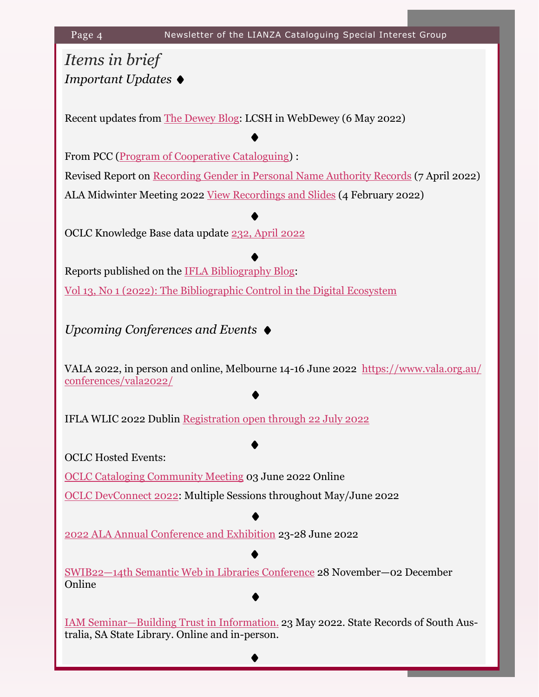# *Items in brief Important Updates*

Recent updates from [The Dewey Blog:](https://ddc.typepad.com/) LCSH in WebDewey (6 May 2022)

From PCC ([Program of Cooperative Cataloguing\)](https://www.loc.gov/aba/pcc/) : Revised Report on [Recording Gender in Personal Name Authority Records](https://www.loc.gov/aba/pcc/documents/gender-in-NARs-revised-report.pdf) (7 April 2022) ALA Midwinter Meeting 2022 [View Recordings and Slides](https://www.loc.gov/aba/pcc/documents/PCC-Participants-Midwinter-2022.pdf) (4 February 2022)

OCLC Knowledge Base data update [232, April 2022](https://help.oclc.org/Metadata_Services/WorldShare_Collection_Manager/WorldCat_knowledge_base_data_updates/2022_Data_updates/080Knowledge_base_data_update_232_April_2022)

Reports published on the [IFLA Bibliography Blog:](https://blogs.ifla.org/bibliography/) [Vol 13, No 1 \(2022\): The Bibliographic Control in the Digital Ecosystem](https://jlis.fupress.net/index.php/jlis/issue/view/34)

*Upcoming Conferences and Events*

VALA 2022, in person and online, Melbourne 14-16 June 2022 [https://www.vala.org.au/](https://www.vala.org.au/conferences/vala2022/) [conferences/vala2022/](https://www.vala.org.au/conferences/vala2022/)

IFLA WLIC 2022 Dublin [Registration open through 22 July 2022](https://2022.ifla.org/congress-registration-information/)

OCLC Hosted Events:

[OCLC Cataloging Community Meeting](https://www.oclc.org/en/events/2022/cataloging-community-meeting-Jun2022.html) 03 June 2022 Online

[OCLC DevConnect 2022:](https://www.oclc.org/go/en/events/devconnect-2022.html) Multiple Sessions throughout May/June 2022

[2022 ALA Annual Conference and Exhibition](https://2022.alaannual.org/) 23-28 June 2022

SWIB22—14[th Semantic Web in Libraries Conference](http://swib.org/swib22/) 28 November—02 December Online

[IAM Seminar—Building Trust in Information.](https://www.rimpa.com.au/eventdetails/13574/iam-seminar-building-trust-in-information) 23 May 2022. State Records of South Australia, SA State Library. Online and in-person.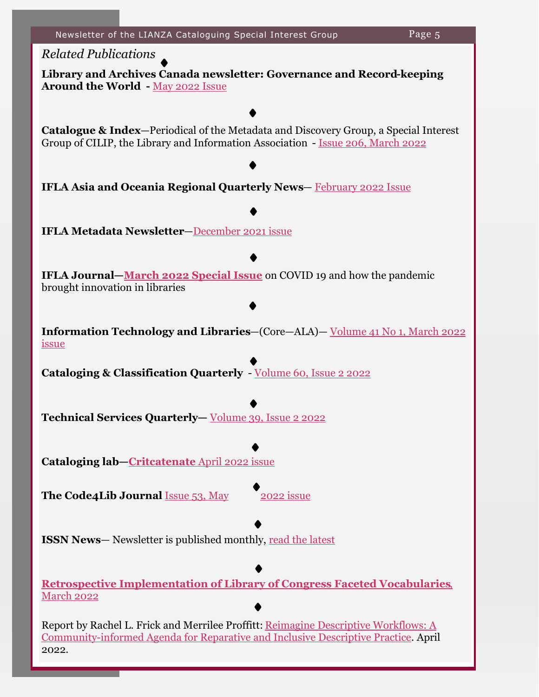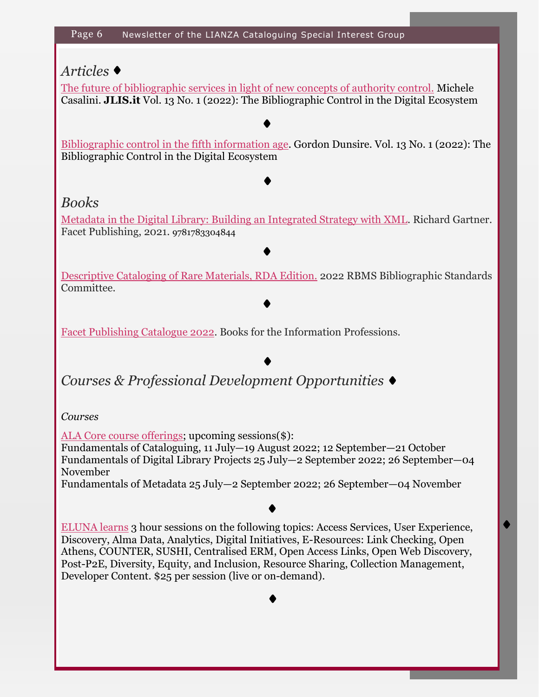## *Articles*

[The future of bibliographic services in light of new concepts of authority control.](https://www.jlis.it/index.php/jlis/article/view/423) Michele Casalini. **JLIS.it** Vol. 13 No. 1 (2022): The Bibliographic Control in the Digital Ecosystem

[Bibliographic control in the fifth information age.](https://www.jlis.it/index.php/jlis/article/view/416) Gordon Dunsire. Vol. 13 No. 1 (2022): The Bibliographic Control in the Digital Ecosystem

## *Books*

[Metadata in the Digital Library: Building an Integrated Strategy with XML.](https://facetpublishing.co.uk/page/detail/metadata-in-the-digital-library/?k=9781783304844) Richard Gartner. Facet Publishing, 2021. 9781783304844

[Descriptive Cataloging of Rare Materials, RDA Edition.](https://bsc.rbms.info/DCRMR/) 2022 RBMS Bibliographic Standards Committee.

[Facet Publishing Catalogue 2022.](https://facetpublishing.co.uk/page/catalogue/) Books for the Information Professions.

*Courses & Professional Development Opportunities*

*Courses*

[ALA Core course offerings;](https://alacorenews.org/calendar/) upcoming sessions(\$):

Fundamentals of Cataloguing, 11 July—19 August 2022; 12 September—21 October Fundamentals of Digital Library Projects 25 July—2 September 2022; 26 September—04 November

Fundamentals of Metadata 25 July—2 September 2022; 26 September—04 November

[ELUNA learns](https://el-una.org/meetings/eluna-learns-2021/) 3 hour sessions on the following topics: Access Services, User Experience, Discovery, Alma Data, Analytics, Digital Initiatives, E-Resources: Link Checking, Open Athens, COUNTER, SUSHI, Centralised ERM, Open Access Links, Open Web Discovery, Post-P2E, Diversity, Equity, and Inclusion, Resource Sharing, Collection Management, Developer Content. \$25 per session (live or on-demand).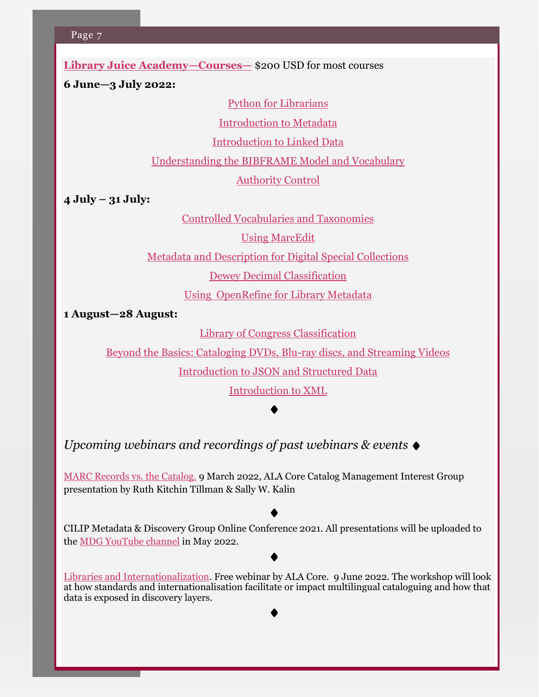**[Library Juice Academy—Courses—](https://libraryjuiceacademy.com/all-courses/)** \$200 USD for most courses

**6 June—3 July 2022:**

[Python for Librarians](https://libraryjuiceacademy.com/shop/course/270-python-for-librarians/?attribute_pa_session=2022-06-jun)

[Introduction to Metadata](https://libraryjuiceacademy.com/shop/course/105-introduction-to-metadata/?attribute_pa_session=2022-06-jun)

[Introduction to Linked Data](https://libraryjuiceacademy.com/shop/course/054-introduction-to-linked-data/?attribute_pa_session=2022-06-jun)

[Understanding the BIBFRAME Model and Vocabulary](https://libraryjuiceacademy.com/shop/course/154-understanding-the-bibframe-model-and-vocabulary/?attribute_pa_session=2022-06-jun)

[Authority Control](https://libraryjuiceacademy.com/shop/course/134-authority-control/?attribute_pa_session=2022-06-jun)

**4 July – 31 July:**

[Controlled Vocabularies and Taxonomies](https://libraryjuiceacademy.com/shop/course/279-controlled-vocabularies-taxonomies/?attribute_pa_session=2022-07-jul)

[Using MarcEdit](https://libraryjuiceacademy.com/shop/course/180-using-marcedit/?attribute_pa_session=2022-07-jul)

[Metadata and Description for Digital Special Collections](https://libraryjuiceacademy.com/shop/course/205-metadata-description-digital-special-collections/?attribute_pa_session=2022-07-jul)

[Dewey Decimal Classification](https://libraryjuiceacademy.com/shop/course/168-dewey-decimal-classification/?attribute_pa_session=2022-07-jul)

[Using OpenRefine for Library Metadata](https://libraryjuiceacademy.com/shop/course/130-using-openrefine-library-metadata/?attribute_pa_session=2022-07-jul)

**1 August—28 August:** 

[Library of Congress Classification](https://libraryjuiceacademy.com/shop/course/169-loc-classification/?attribute_pa_session=2022-08-aug)

[Beyond the Basics: Cataloging DVDs, Blu](https://libraryjuiceacademy.com/shop/course/135-cataloging-dvds-blu-ray-discs-and-streaming-videos/?attribute_pa_session=2022-08-aug)-ray discs, and Streaming Videos

[Introduction to JSON and Structured Data](https://libraryjuiceacademy.com/shop/course/161-introduction-json-structured-data/?attribute_pa_session=2022-08-aug)

[Introduction to XML](https://libraryjuiceacademy.com/shop/course/019-introduction-to-xml/?attribute_pa_session=2022-08-aug)

*Upcoming webinars and recordings of past webinars & events*

[MARC Records vs. the Catalog.](https://ruthtillman.com/talk/marc-records-vs-catalog/) 9 March 2022, ALA Core Catalog Management Interest Group presentation by Ruth Kitchin Tillman & Sally W. Kalin

CILIP Metadata & Discovery Group Online Conference 2021. All presentations will be uploaded to the [MDG YouTube channel](https://www.youtube.com/channel/UClJYEsN-AGCvOlFKNR98TAw) in May 2022.

[Libraries and Internationalization.](https://ala-events.zoom.us/webinar/register/tJ0vcO-upjIpG9QtRMvXxlqwaMCRxkW336xI/success?user_id=rxufTsY-QqS_WtR1G_dSWQ&timezone_id=America%2FChicago) Free webinar by ALA Core. 9 June 2022. The workshop will look at how standards and internationalisation facilitate or impact multilingual cataloguing and how that data is exposed in discovery layers.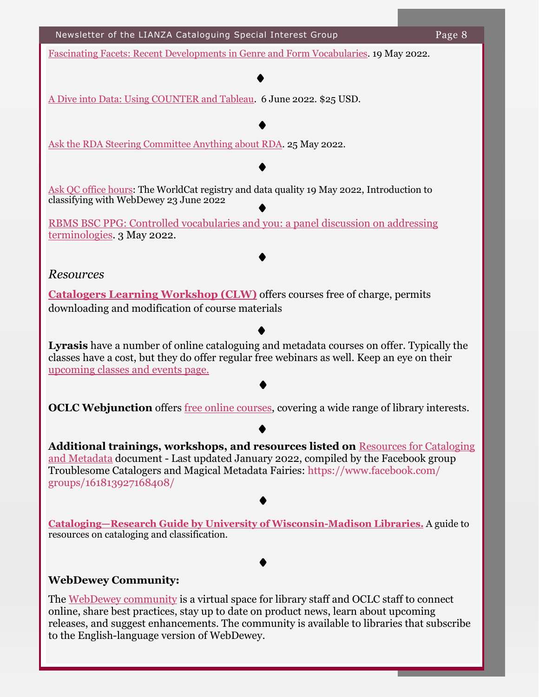[Fascinating Facets: Recent Developments in Genre and Form Vocabularies.](https://www.ifla.org/events/fascinating-facets-recent-developments-in-genre-and-form-vocabularies/) 19 May 2022.

[A Dive into Data: Using COUNTER and Tableau.](https://notsl.org/) 6 June 2022. \$25 USD.

[Ask the RDA Steering Committee Anything about RDA.](https://protect-au.mimecast.com/s/jFVrCWLVEjtpQm5MH5N_9e?domain=ala-publishing.informz.net) 25 May 2022.

[Ask QC office hours:](https://help.oclc.org/WorldCat/Metadata_Quality/AskQC/Current_AskQC_office_hours) The WorldCat registry and data quality 19 May 2022, Introduction to classifying with WebDewey 23 June 2022

[RBMS BSC PPG: Controlled vocabularies and you: a panel discussion on addressing](https://www.youtube.com/watch?v=-JdOf75ZlhE)  [terminologies.](https://www.youtube.com/watch?v=-JdOf75ZlhE) 3 May 2022.

### *Resources*

**[Catalogers Learning Workshop \(CLW\)](http://www.loc.gov/catworkshop/)** offers courses free of charge, permits downloading and modification of course materials

**Lyrasis** have a number of online cataloguing and metadata courses on offer. Typically the classes have a cost, but they do offer regular free webinars as well. Keep an eye on their [upcoming classes and events page.](https://www.lyrasis.org/services/Pages/Classes.aspx)

**OCLC Webjunction** offers [free online courses,](https://learn.webjunction.org/?utm_source=SFMC&utm_medium=email&utm_content=January+5+2022+Crossroads&utm_campaign=&utm_term=WebJunction%20Crossroads) covering a wide range of library interests.

**Additional trainings, workshops, and resources listed on** [Resources for Cataloging](https://docs.google.com/document/d/1tPa7Lu0CcvId57SqextU8VM7XSlhc7JflN0a20RRoNg/edit?fbclid=IwAR2ap9q7m1jkOgnBYiol6rZW332UdxWqAu6OwiSC5gPcNuyj1hqtghn1H9Q)  [and Metadata](https://docs.google.com/document/d/1tPa7Lu0CcvId57SqextU8VM7XSlhc7JflN0a20RRoNg/edit?fbclid=IwAR2ap9q7m1jkOgnBYiol6rZW332UdxWqAu6OwiSC5gPcNuyj1hqtghn1H9Q) document - Last updated January 2022, compiled by the Facebook group Troublesome Catalogers and Magical Metadata Fairies: https://www.facebook.com/ groups/161813927168408/

**[Cataloging—Research Guide by University of Wisconsin](https://researchguides.library.wisc.edu/cataloging)-Madison Libraries.** A guide to resources on cataloging and classification.

### **WebDewey Community:**

The [WebDewey community](https://www.oclc.org/en/dewey/webdewey.html) is a virtual space for library staff and OCLC staff to connect online, share best practices, stay up to date on product news, learn about upcoming releases, and suggest enhancements. The community is available to libraries that subscribe to the English-language version of WebDewey.